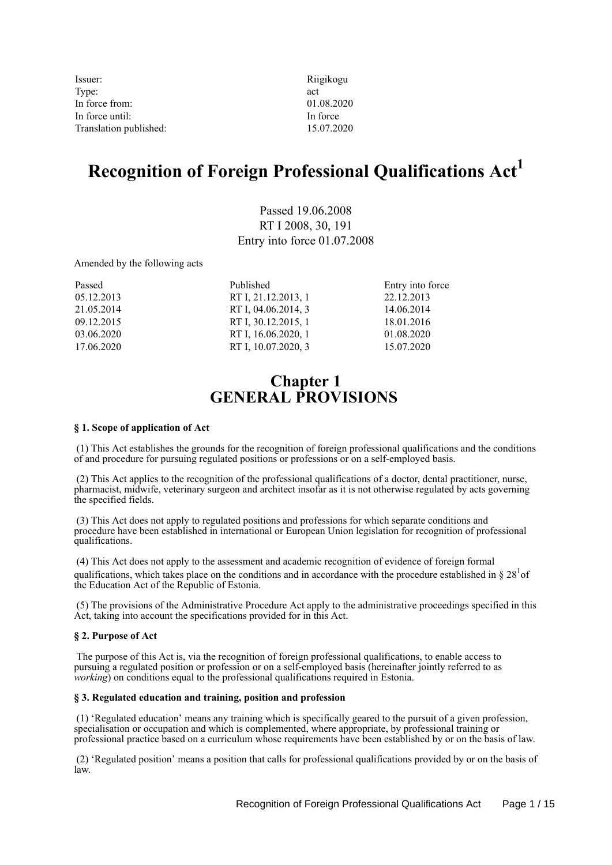| Issuer:                | Riigikogu  |
|------------------------|------------|
| Type:                  | act        |
| In force from:         | 01.08.2020 |
| In force until:        | In force   |
| Translation published: | 15.07.2020 |
|                        |            |

# **Recognition of Foreign Professional Qualifications Act<sup>1</sup>**

Passed 19.06.2008 RT I 2008, 30, 191 Entry into force 01.07.2008

Amended by the following acts

| Passed     | Published           | Entry into force |
|------------|---------------------|------------------|
| 05.12.2013 | RT I, 21.12.2013, 1 | 22.12.2013       |
| 21.05.2014 | RT I, 04.06.2014, 3 | 14.06.2014       |
| 09.12.2015 | RT I, 30.12.2015, 1 | 18.01.2016       |
| 03.06.2020 | RT I, 16.06.2020, 1 | 01.08.2020       |
| 17.06.2020 | RT I, 10.07.2020, 3 | 15.07.2020       |

# **Chapter 1 GENERAL PROVISIONS**

#### **§ 1. Scope of application of Act**

 (1) This Act establishes the grounds for the recognition of foreign professional qualifications and the conditions of and procedure for pursuing regulated positions or professions or on a self-employed basis.

 (2) This Act applies to the recognition of the professional qualifications of a doctor, dental practitioner, nurse, pharmacist, midwife, veterinary surgeon and architect insofar as it is not otherwise regulated by acts governing the specified fields.

 (3) This Act does not apply to regulated positions and professions for which separate conditions and procedure have been established in international or European Union legislation for recognition of professional qualifications.

 (4) This Act does not apply to the assessment and academic recognition of evidence of foreign formal qualifications, which takes place on the conditions and in accordance with the procedure established in §  $28<sup>1</sup>$ of the Education Act of the Republic of Estonia.

 (5) The provisions of the Administrative Procedure Act apply to the administrative proceedings specified in this Act, taking into account the specifications provided for in this Act.

#### **§ 2. Purpose of Act**

 The purpose of this Act is, via the recognition of foreign professional qualifications, to enable access to pursuing a regulated position or profession or on a self-employed basis (hereinafter jointly referred to as *working*) on conditions equal to the professional qualifications required in Estonia.

#### **§ 3. Regulated education and training, position and profession**

 (1) 'Regulated education' means any training which is specifically geared to the pursuit of a given profession, specialisation or occupation and which is complemented, where appropriate, by professional training or professional practice based on a curriculum whose requirements have been established by or on the basis of law.

 (2) 'Regulated position' means a position that calls for professional qualifications provided by or on the basis of law.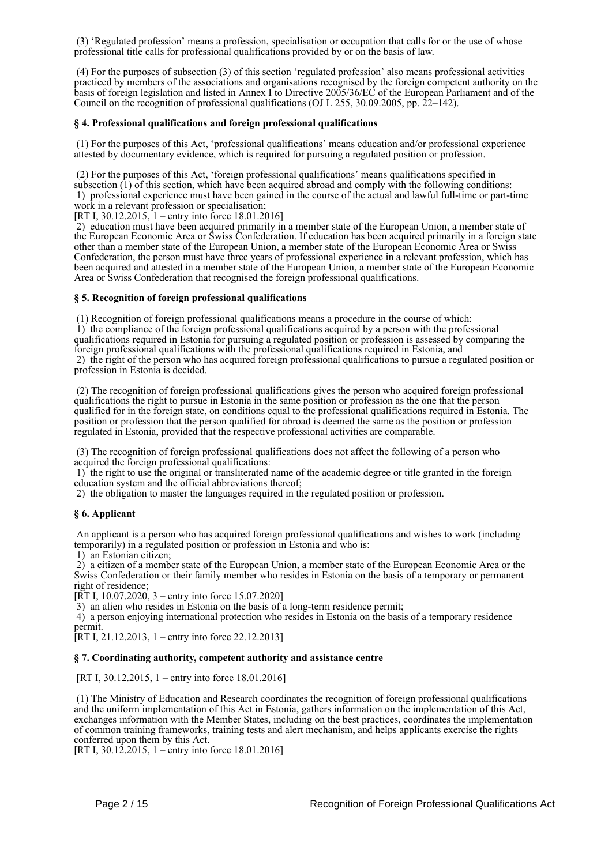(3) 'Regulated profession' means a profession, specialisation or occupation that calls for or the use of whose professional title calls for professional qualifications provided by or on the basis of law.

 (4) For the purposes of subsection (3) of this section 'regulated profession' also means professional activities practiced by members of the associations and organisations recognised by the foreign competent authority on the basis of foreign legislation and listed in Annex I to Directive 2005/36/EC of the European Parliament and of the Council on the recognition of professional qualifications (OJ L 255, 30.09.2005, pp. 22–142).

#### **§ 4. Professional qualifications and foreign professional qualifications**

 (1) For the purposes of this Act, 'professional qualifications' means education and/or professional experience attested by documentary evidence, which is required for pursuing a regulated position or profession.

 (2) For the purposes of this Act, 'foreign professional qualifications' means qualifications specified in subsection (1) of this section, which have been acquired abroad and comply with the following conditions: 1) professional experience must have been gained in the course of the actual and lawful full-time or part-time work in a relevant profession or specialisation;

[RT I, 30.12.2015, 1 – entry into force 18.01.2016]

 2) education must have been acquired primarily in a member state of the European Union, a member state of the European Economic Area or Swiss Confederation. If education has been acquired primarily in a foreign state other than a member state of the European Union, a member state of the European Economic Area or Swiss Confederation, the person must have three years of professional experience in a relevant profession, which has been acquired and attested in a member state of the European Union, a member state of the European Economic Area or Swiss Confederation that recognised the foreign professional qualifications.

#### **§ 5. Recognition of foreign professional qualifications**

(1) Recognition of foreign professional qualifications means a procedure in the course of which:

 1) the compliance of the foreign professional qualifications acquired by a person with the professional qualifications required in Estonia for pursuing a regulated position or profession is assessed by comparing the foreign professional qualifications with the professional qualifications required in Estonia, and 2) the right of the person who has acquired foreign professional qualifications to pursue a regulated position or profession in Estonia is decided.

 (2) The recognition of foreign professional qualifications gives the person who acquired foreign professional qualifications the right to pursue in Estonia in the same position or profession as the one that the person qualified for in the foreign state, on conditions equal to the professional qualifications required in Estonia. The position or profession that the person qualified for abroad is deemed the same as the position or profession regulated in Estonia, provided that the respective professional activities are comparable.

 (3) The recognition of foreign professional qualifications does not affect the following of a person who acquired the foreign professional qualifications:

 1) the right to use the original or transliterated name of the academic degree or title granted in the foreign education system and the official abbreviations thereof;

2) the obligation to master the languages required in the regulated position or profession.

#### **§ 6. Applicant**

 An applicant is a person who has acquired foreign professional qualifications and wishes to work (including temporarily) in a regulated position or profession in Estonia and who is:

1) an Estonian citizen;

 2) a citizen of a member state of the European Union, a member state of the European Economic Area or the Swiss Confederation or their family member who resides in Estonia on the basis of a temporary or permanent right of residence;

[RT I, 10.07.2020, 3 – entry into force 15.07.2020]

3) an alien who resides in Estonia on the basis of a long-term residence permit;

 4) a person enjoying international protection who resides in Estonia on the basis of a temporary residence permit.

[RT I, 21.12.2013, 1 – entry into force 22.12.2013]

#### **§ 7. Coordinating authority, competent authority and assistance centre**

[RT I, 30.12.2015, 1 – entry into force 18.01.2016]

 (1) The Ministry of Education and Research coordinates the recognition of foreign professional qualifications and the uniform implementation of this Act in Estonia, gathers information on the implementation of this Act, exchanges information with the Member States, including on the best practices, coordinates the implementation of common training frameworks, training tests and alert mechanism, and helps applicants exercise the rights conferred upon them by this Act.

[RT I, 30.12.2015, 1 – entry into force 18.01.2016]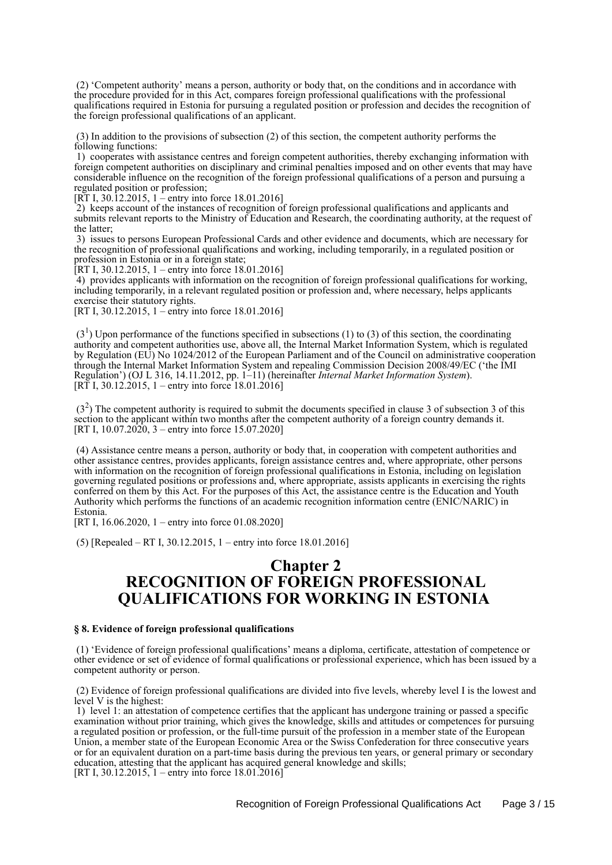(2) 'Competent authority' means a person, authority or body that, on the conditions and in accordance with the procedure provided for in this Act, compares foreign professional qualifications with the professional qualifications required in Estonia for pursuing a regulated position or profession and decides the recognition of the foreign professional qualifications of an applicant.

 (3) In addition to the provisions of subsection (2) of this section, the competent authority performs the following functions:

 1) cooperates with assistance centres and foreign competent authorities, thereby exchanging information with foreign competent authorities on disciplinary and criminal penalties imposed and on other events that may have considerable influence on the recognition of the foreign professional qualifications of a person and pursuing a regulated position or profession;

[RT I, 30.12.2015, 1 – entry into force 18.01.2016]

 2) keeps account of the instances of recognition of foreign professional qualifications and applicants and submits relevant reports to the Ministry of Education and Research, the coordinating authority, at the request of the latter;

 3) issues to persons European Professional Cards and other evidence and documents, which are necessary for the recognition of professional qualifications and working, including temporarily, in a regulated position or profession in Estonia or in a foreign state;

[RT I, 30.12.2015, 1 – entry into force  $18.01.2016$ ]

 4) provides applicants with information on the recognition of foreign professional qualifications for working, including temporarily, in a relevant regulated position or profession and, where necessary, helps applicants exercise their statutory rights.

[RT I, 30.12.2015, 1 – entry into force 18.01.2016]

 $(3<sup>1</sup>)$  Upon performance of the functions specified in subsections (1) to (3) of this section, the coordinating authority and competent authorities use, above all, the Internal Market Information System, which is regulated by Regulation (EU) No 1024/2012 of the European Parliament and of the Council on administrative cooperation through the Internal Market Information System and repealing Commission Decision 2008/49/EC ('the IMI Regulation') (OJ L 316, 14.11.2012, pp. 1–11) (hereinafter *Internal Market Information System*). [RT I, 30.12.2015, 1 – entry into force 18.01.2016]

 $(3<sup>2</sup>)$  The competent authority is required to submit the documents specified in clause 3 of subsection 3 of this section to the applicant within two months after the competent authority of a foreign country demands it. [RT I,  $10.07.20\overline{20}$ , 3 – entry into force 15.07.2020]

 (4) Assistance centre means a person, authority or body that, in cooperation with competent authorities and other assistance centres, provides applicants, foreign assistance centres and, where appropriate, other persons with information on the recognition of foreign professional qualifications in Estonia, including on legislation governing regulated positions or professions and, where appropriate, assists applicants in exercising the rights conferred on them by this Act. For the purposes of this Act, the assistance centre is the Education and Youth Authority which performs the functions of an academic recognition information centre (ENIC/NARIC) in Estonia.

[RT I, 16.06.2020, 1 – entry into force 01.08.2020]

(5) [Repealed – RT I, 30.12.2015, 1 – entry into force 18.01.2016]

## **Chapter 2 RECOGNITION OF FOREIGN PROFESSIONAL QUALIFICATIONS FOR WORKING IN ESTONIA**

#### **§ 8. Evidence of foreign professional qualifications**

 (1) 'Evidence of foreign professional qualifications' means a diploma, certificate, attestation of competence or other evidence or set of evidence of formal qualifications or professional experience, which has been issued by a competent authority or person.

 (2) Evidence of foreign professional qualifications are divided into five levels, whereby level I is the lowest and level V is the highest:

 1) level 1: an attestation of competence certifies that the applicant has undergone training or passed a specific examination without prior training, which gives the knowledge, skills and attitudes or competences for pursuing a regulated position or profession, or the full-time pursuit of the profession in a member state of the European Union, a member state of the European Economic Area or the Swiss Confederation for three consecutive years or for an equivalent duration on a part-time basis during the previous ten years, or general primary or secondary education, attesting that the applicant has acquired general knowledge and skills; [RT I,  $30.12.2015$ , 1 – entry into force 18.01.2016]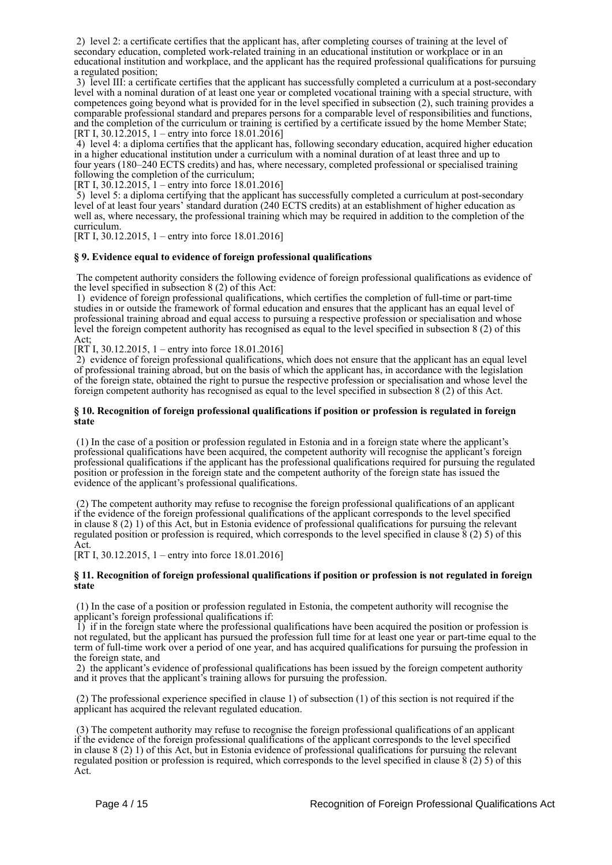2) level 2: a certificate certifies that the applicant has, after completing courses of training at the level of secondary education, completed work-related training in an educational institution or workplace or in an educational institution and workplace, and the applicant has the required professional qualifications for pursuing a regulated position;

 3) level III: a certificate certifies that the applicant has successfully completed a curriculum at a post-secondary level with a nominal duration of at least one year or completed vocational training with a special structure, with competences going beyond what is provided for in the level specified in subsection (2), such training provides a comparable professional standard and prepares persons for a comparable level of responsibilities and functions, and the completion of the curriculum or training is certified by a certificate issued by the home Member State; [RT I, 30.12.2015, 1 – entry into force 18.01.2016]

 4) level 4: a diploma certifies that the applicant has, following secondary education, acquired higher education in a higher educational institution under a curriculum with a nominal duration of at least three and up to four years (180–240 ECTS credits) and has, where necessary, completed professional or specialised training following the completion of the curriculum;

[RT I,  $30.12.2015$ , 1 – entry into force 18.01.2016]

 5) level 5: a diploma certifying that the applicant has successfully completed a curriculum at post-secondary level of at least four years' standard duration (240 ECTS credits) at an establishment of higher education as well as, where necessary, the professional training which may be required in addition to the completion of the curriculum.

[RT I, 30.12.2015, 1 – entry into force 18.01.2016]

#### **§ 9. Evidence equal to evidence of foreign professional qualifications**

 The competent authority considers the following evidence of foreign professional qualifications as evidence of the level specified in subsection 8 (2) of this Act:

 1) evidence of foreign professional qualifications, which certifies the completion of full-time or part-time studies in or outside the framework of formal education and ensures that the applicant has an equal level of professional training abroad and equal access to pursuing a respective profession or specialisation and whose level the foreign competent authority has recognised as equal to the level specified in subsection 8 (2) of this Act;

[RT I, 30.12.2015, 1 – entry into force 18.01.2016]

 2) evidence of foreign professional qualifications, which does not ensure that the applicant has an equal level of professional training abroad, but on the basis of which the applicant has, in accordance with the legislation of the foreign state, obtained the right to pursue the respective profession or specialisation and whose level the foreign competent authority has recognised as equal to the level specified in subsection 8 (2) of this Act.

#### **§ 10. Recognition of foreign professional qualifications if position or profession is regulated in foreign state**

 (1) In the case of a position or profession regulated in Estonia and in a foreign state where the applicant's professional qualifications have been acquired, the competent authority will recognise the applicant's foreign professional qualifications if the applicant has the professional qualifications required for pursuing the regulated position or profession in the foreign state and the competent authority of the foreign state has issued the evidence of the applicant's professional qualifications.

 (2) The competent authority may refuse to recognise the foreign professional qualifications of an applicant if the evidence of the foreign professional qualifications of the applicant corresponds to the level specified in clause 8 (2) 1) of this Act, but in Estonia evidence of professional qualifications for pursuing the relevant regulated position or profession is required, which corresponds to the level specified in clause 8 (2) 5) of this Act.

[RT I, 30.12.2015, 1 – entry into force 18.01.2016]

#### **§ 11. Recognition of foreign professional qualifications if position or profession is not regulated in foreign state**

 (1) In the case of a position or profession regulated in Estonia, the competent authority will recognise the applicant's foreign professional qualifications if:

 1) if in the foreign state where the professional qualifications have been acquired the position or profession is not regulated, but the applicant has pursued the profession full time for at least one year or part-time equal to the term of full-time work over a period of one year, and has acquired qualifications for pursuing the profession in the foreign state, and

 2) the applicant's evidence of professional qualifications has been issued by the foreign competent authority and it proves that the applicant's training allows for pursuing the profession.

 (2) The professional experience specified in clause 1) of subsection (1) of this section is not required if the applicant has acquired the relevant regulated education.

 (3) The competent authority may refuse to recognise the foreign professional qualifications of an applicant if the evidence of the foreign professional qualifications of the applicant corresponds to the level specified in clause 8 (2) 1) of this Act, but in Estonia evidence of professional qualifications for pursuing the relevant regulated position or profession is required, which corresponds to the level specified in clause 8 (2) 5) of this Act.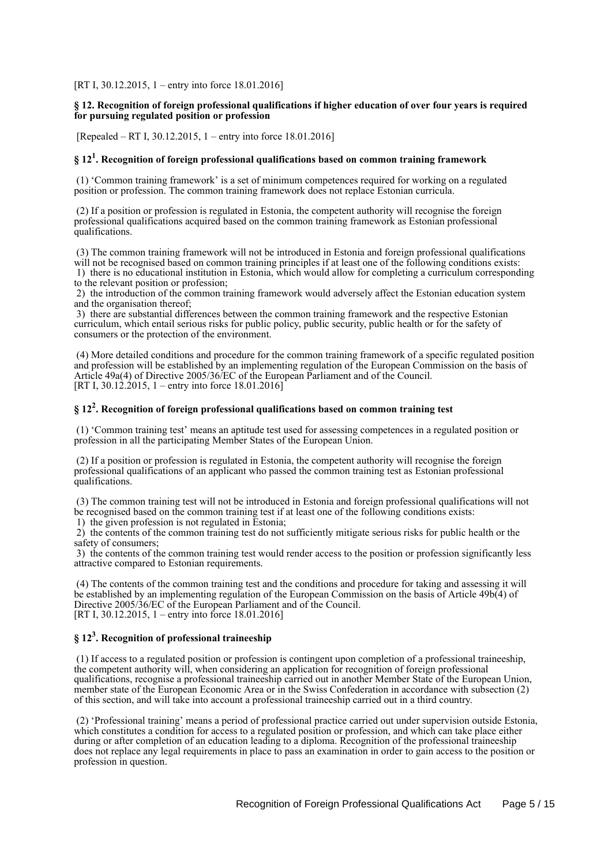[RT I, 30.12.2015, 1 – entry into force 18.01.2016]

#### **§ 12. Recognition of foreign professional qualifications if higher education of over four years is required for pursuing regulated position or profession**

[Repealed – RT I, 30.12.2015, 1 – entry into force 18.01.2016]

## **§ 12<sup>1</sup> . Recognition of foreign professional qualifications based on common training framework**

 (1) 'Common training framework' is a set of minimum competences required for working on a regulated position or profession. The common training framework does not replace Estonian curricula.

 (2) If a position or profession is regulated in Estonia, the competent authority will recognise the foreign professional qualifications acquired based on the common training framework as Estonian professional qualifications.

 (3) The common training framework will not be introduced in Estonia and foreign professional qualifications will not be recognised based on common training principles if at least one of the following conditions exists:

 1) there is no educational institution in Estonia, which would allow for completing a curriculum corresponding to the relevant position or profession;

 2) the introduction of the common training framework would adversely affect the Estonian education system and the organisation thereof;

 3) there are substantial differences between the common training framework and the respective Estonian curriculum, which entail serious risks for public policy, public security, public health or for the safety of consumers or the protection of the environment.

 (4) More detailed conditions and procedure for the common training framework of a specific regulated position and profession will be established by an implementing regulation of the European Commission on the basis of Article 49a(4) of Directive 2005/36/EC of the European Parliament and of the Council. [RT I, 30.12.2015, 1 – entry into force 18.01.2016]

## **§ 12<sup>2</sup> . Recognition of foreign professional qualifications based on common training test**

 (1) 'Common training test' means an aptitude test used for assessing competences in a regulated position or profession in all the participating Member States of the European Union.

 (2) If a position or profession is regulated in Estonia, the competent authority will recognise the foreign professional qualifications of an applicant who passed the common training test as Estonian professional qualifications.

 (3) The common training test will not be introduced in Estonia and foreign professional qualifications will not be recognised based on the common training test if at least one of the following conditions exists:

1) the given profession is not regulated in Estonia;

 2) the contents of the common training test do not sufficiently mitigate serious risks for public health or the safety of consumers;

 3) the contents of the common training test would render access to the position or profession significantly less attractive compared to Estonian requirements.

 (4) The contents of the common training test and the conditions and procedure for taking and assessing it will be established by an implementing regulation of the European Commission on the basis of Article 49b(4) of Directive 2005/36/EC of the European Parliament and of the Council. [RT I, 30.12.2015, 1 – entry into force 18.01.2016]

## **§ 12<sup>3</sup> . Recognition of professional traineeship**

 (1) If access to a regulated position or profession is contingent upon completion of a professional traineeship, the competent authority will, when considering an application for recognition of foreign professional qualifications, recognise a professional traineeship carried out in another Member State of the European Union, member state of the European Economic Area or in the Swiss Confederation in accordance with subsection (2) of this section, and will take into account a professional traineeship carried out in a third country.

 (2) 'Professional training' means a period of professional practice carried out under supervision outside Estonia, which constitutes a condition for access to a regulated position or profession, and which can take place either during or after completion of an education leading to a diploma. Recognition of the professional traineeship does not replace any legal requirements in place to pass an examination in order to gain access to the position or profession in question.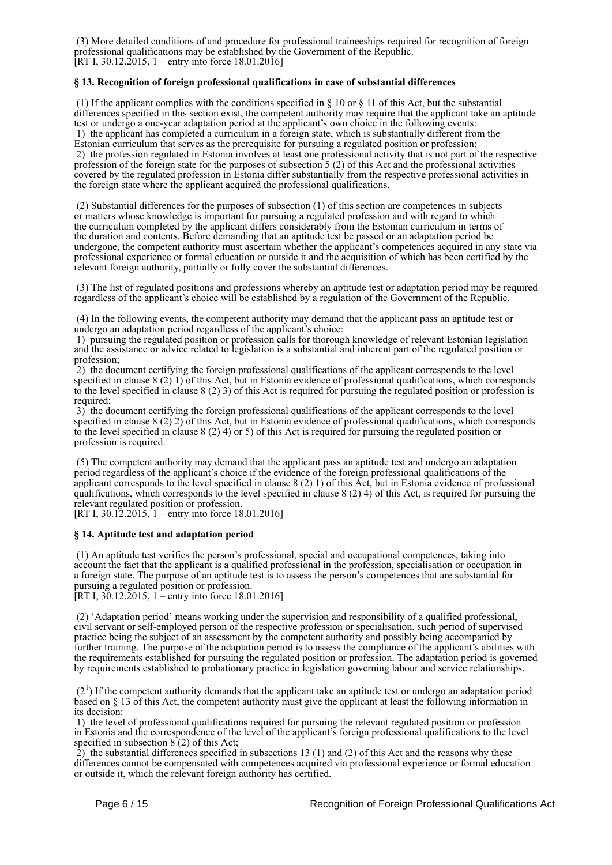(3) More detailed conditions of and procedure for professional traineeships required for recognition of foreign professional qualifications may be established by the Government of the Republic. [RT I, 30.12.2015, 1 – entry into force 18.01.2016]

#### **§ 13. Recognition of foreign professional qualifications in case of substantial differences**

(1) If the applicant complies with the conditions specified in  $\S$  10 or  $\S$  11 of this Act, but the substantial differences specified in this section exist, the competent authority may require that the applicant take an aptitude test or undergo a one-year adaptation period at the applicant's own choice in the following events: 1) the applicant has completed a curriculum in a foreign state, which is substantially different from the Estonian curriculum that serves as the prerequisite for pursuing a regulated position or profession; 2) the profession regulated in Estonia involves at least one professional activity that is not part of the respective profession of the foreign state for the purposes of subsection 5 (2) of this Act and the professional activities covered by the regulated profession in Estonia differ substantially from the respective professional activities in the foreign state where the applicant acquired the professional qualifications.

 (2) Substantial differences for the purposes of subsection (1) of this section are competences in subjects or matters whose knowledge is important for pursuing a regulated profession and with regard to which the curriculum completed by the applicant differs considerably from the Estonian curriculum in terms of the duration and contents. Before demanding that an aptitude test be passed or an adaptation period be undergone, the competent authority must ascertain whether the applicant's competences acquired in any state via professional experience or formal education or outside it and the acquisition of which has been certified by the relevant foreign authority, partially or fully cover the substantial differences.

 (3) The list of regulated positions and professions whereby an aptitude test or adaptation period may be required regardless of the applicant's choice will be established by a regulation of the Government of the Republic.

 (4) In the following events, the competent authority may demand that the applicant pass an aptitude test or undergo an adaptation period regardless of the applicant's choice:

 1) pursuing the regulated position or profession calls for thorough knowledge of relevant Estonian legislation and the assistance or advice related to legislation is a substantial and inherent part of the regulated position or profession;

 2) the document certifying the foreign professional qualifications of the applicant corresponds to the level specified in clause 8 (2) 1) of this Act, but in Estonia evidence of professional qualifications, which corresponds to the level specified in clause 8 (2) 3) of this Act is required for pursuing the regulated position or profession is required:

 3) the document certifying the foreign professional qualifications of the applicant corresponds to the level specified in clause 8 (2) 2) of this Act, but in Estonia evidence of professional qualifications, which corresponds to the level specified in clause 8 (2) 4) or 5) of this Act is required for pursuing the regulated position or profession is required.

 (5) The competent authority may demand that the applicant pass an aptitude test and undergo an adaptation period regardless of the applicant's choice if the evidence of the foreign professional qualifications of the applicant corresponds to the level specified in clause 8 (2) 1) of this Act, but in Estonia evidence of professional qualifications, which corresponds to the level specified in clause 8 (2) 4) of this Act, is required for pursuing the relevant regulated position or profession.

[RT I,  $30.12.2015$ , 1 – entry into force 18.01.2016]

#### **§ 14. Aptitude test and adaptation period**

 (1) An aptitude test verifies the person's professional, special and occupational competences, taking into account the fact that the applicant is a qualified professional in the profession, specialisation or occupation in a foreign state. The purpose of an aptitude test is to assess the person's competences that are substantial for pursuing a regulated position or profession.

[RT I,  $30.12.2015$ , 1 – entry into force 18.01.2016]

 (2) 'Adaptation period' means working under the supervision and responsibility of a qualified professional, civil servant or self-employed person of the respective profession or specialisation, such period of supervised practice being the subject of an assessment by the competent authority and possibly being accompanied by further training. The purpose of the adaptation period is to assess the compliance of the applicant's abilities with the requirements established for pursuing the regulated position or profession. The adaptation period is governed by requirements established to probationary practice in legislation governing labour and service relationships.

 $(2<sup>1</sup>)$  If the competent authority demands that the applicant take an aptitude test or undergo an adaptation period based on § 13 of this Act, the competent authority must give the applicant at least the following information in its decision:

 1) the level of professional qualifications required for pursuing the relevant regulated position or profession in Estonia and the correspondence of the level of the applicant's foreign professional qualifications to the level specified in subsection  $8(2)$  of this Act;

 2) the substantial differences specified in subsections 13 (1) and (2) of this Act and the reasons why these differences cannot be compensated with competences acquired via professional experience or formal education or outside it, which the relevant foreign authority has certified.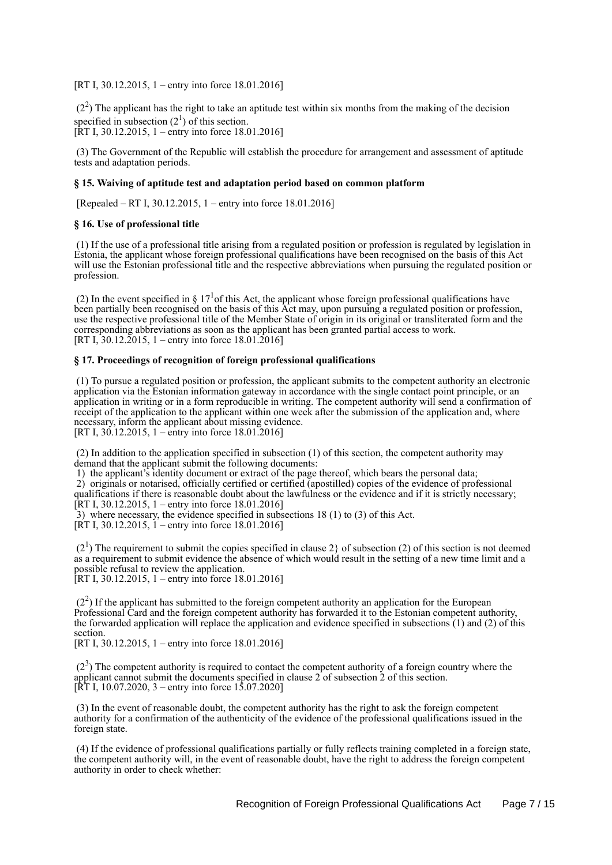[RT I, 30.12.2015, 1 – entry into force 18.01.2016]

 $(2<sup>2</sup>)$  The applicant has the right to take an aptitude test within six months from the making of the decision specified in subsection  $(2^1)$  of this section. [RT I, 30.12.2015, 1 – entry into force 18.01.2016]

 (3) The Government of the Republic will establish the procedure for arrangement and assessment of aptitude tests and adaptation periods.

#### **§ 15. Waiving of aptitude test and adaptation period based on common platform**

[Repealed – RT I, 30.12.2015, 1 – entry into force 18.01.2016]

#### **§ 16. Use of professional title**

 (1) If the use of a professional title arising from a regulated position or profession is regulated by legislation in Estonia, the applicant whose foreign professional qualifications have been recognised on the basis of this Act will use the Estonian professional title and the respective abbreviations when pursuing the regulated position or profession.

(2) In the event specified in § 17<sup>1</sup> of this Act, the applicant whose foreign professional qualifications have been partially been recognised on the basis of this Act may, upon pursuing a regulated position or profession, use the respective professional title of the Member State of origin in its original or transliterated form and the corresponding abbreviations as soon as the applicant has been granted partial access to work. [RT I,  $30.12.\overline{2}015$ , 1 – entry into force 18.01.2016]

#### **§ 17. Proceedings of recognition of foreign professional qualifications**

 (1) To pursue a regulated position or profession, the applicant submits to the competent authority an electronic application via the Estonian information gateway in accordance with the single contact point principle, or an application in writing or in a form reproducible in writing. The competent authority will send a confirmation of receipt of the application to the applicant within one week after the submission of the application and, where necessary, inform the applicant about missing evidence.

[RT I,  $30.12.2015$ , 1 – entry into force 18.01.2016]

 (2) In addition to the application specified in subsection (1) of this section, the competent authority may demand that the applicant submit the following documents:

1) the applicant's identity document or extract of the page thereof, which bears the personal data;

 2) originals or notarised, officially certified or certified (apostilled) copies of the evidence of professional qualifications if there is reasonable doubt about the lawfulness or the evidence and if it is strictly necessary; [RT I, 30.12.2015, 1 – entry into force 18.01.2016]

3) where necessary, the evidence specified in subsections 18 (1) to (3) of this Act.

[RT I, 30.12.2015,  $1$  – entry into force 18.01.2016]

 $(2<sup>1</sup>)$  The requirement to submit the copies specified in clause 2} of subsection (2) of this section is not deemed as a requirement to submit evidence the absence of which would result in the setting of a new time limit and a possible refusal to review the application. [RT I, 30.12.2015, 1 – entry into force 18.01.2016]

 $(2<sup>2</sup>)$  If the applicant has submitted to the foreign competent authority an application for the European Professional Card and the foreign competent authority has forwarded it to the Estonian competent authority, the forwarded application will replace the application and evidence specified in subsections (1) and (2) of this section.

[RT I, 30.12.2015, 1 – entry into force 18.01.2016]

 $(2<sup>3</sup>)$  The competent authority is required to contact the competent authority of a foreign country where the applicant cannot submit the documents specified in clause 2 of subsection 2 of this section.  $[\hat{RT} I, 10.07.2020, 3 -$  entry into force 15.07.2020]

 (3) In the event of reasonable doubt, the competent authority has the right to ask the foreign competent authority for a confirmation of the authenticity of the evidence of the professional qualifications issued in the foreign state.

 (4) If the evidence of professional qualifications partially or fully reflects training completed in a foreign state, the competent authority will, in the event of reasonable doubt, have the right to address the foreign competent authority in order to check whether: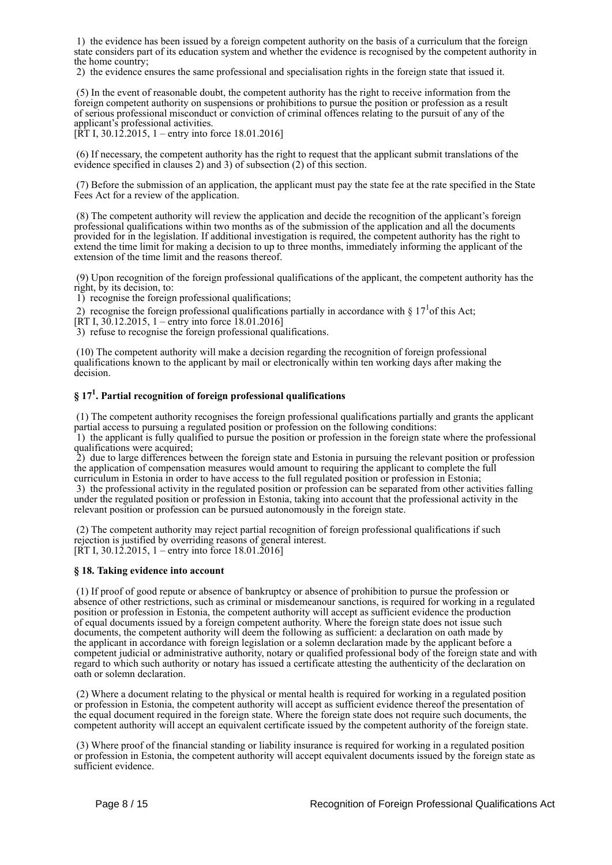1) the evidence has been issued by a foreign competent authority on the basis of a curriculum that the foreign state considers part of its education system and whether the evidence is recognised by the competent authority in the home country;

2) the evidence ensures the same professional and specialisation rights in the foreign state that issued it.

 (5) In the event of reasonable doubt, the competent authority has the right to receive information from the foreign competent authority on suspensions or prohibitions to pursue the position or profession as a result of serious professional misconduct or conviction of criminal offences relating to the pursuit of any of the applicant's professional activities.

[RT I, 30.12.2015, 1 – entry into force 18.01.2016]

 (6) If necessary, the competent authority has the right to request that the applicant submit translations of the evidence specified in clauses 2) and 3) of subsection (2) of this section.

 (7) Before the submission of an application, the applicant must pay the state fee at the rate specified in the State Fees Act for a review of the application.

 (8) The competent authority will review the application and decide the recognition of the applicant's foreign professional qualifications within two months as of the submission of the application and all the documents provided for in the legislation. If additional investigation is required, the competent authority has the right to extend the time limit for making a decision to up to three months, immediately informing the applicant of the extension of the time limit and the reasons thereof.

 (9) Upon recognition of the foreign professional qualifications of the applicant, the competent authority has the right, by its decision, to:

1) recognise the foreign professional qualifications;

2) recognise the foreign professional qualifications partially in accordance with  $\S 17<sup>1</sup>$  of this Act;

[RT I, 30.12.2015, 1 – entry into force 18.01.2016]

3) refuse to recognise the foreign professional qualifications.

 (10) The competent authority will make a decision regarding the recognition of foreign professional qualifications known to the applicant by mail or electronically within ten working days after making the decision.

## **§ 17<sup>1</sup> . Partial recognition of foreign professional qualifications**

 (1) The competent authority recognises the foreign professional qualifications partially and grants the applicant partial access to pursuing a regulated position or profession on the following conditions:

 1) the applicant is fully qualified to pursue the position or profession in the foreign state where the professional qualifications were acquired;

 2) due to large differences between the foreign state and Estonia in pursuing the relevant position or profession the application of compensation measures would amount to requiring the applicant to complete the full curriculum in Estonia in order to have access to the full regulated position or profession in Estonia;

 3) the professional activity in the regulated position or profession can be separated from other activities falling under the regulated position or profession in Estonia, taking into account that the professional activity in the relevant position or profession can be pursued autonomously in the foreign state.

 (2) The competent authority may reject partial recognition of foreign professional qualifications if such rejection is justified by overriding reasons of general interest. [RT I, 30.12.2015, 1 – entry into force 18.01.2016]

#### **§ 18. Taking evidence into account**

 (1) If proof of good repute or absence of bankruptcy or absence of prohibition to pursue the profession or absence of other restrictions, such as criminal or misdemeanour sanctions, is required for working in a regulated position or profession in Estonia, the competent authority will accept as sufficient evidence the production of equal documents issued by a foreign competent authority. Where the foreign state does not issue such documents, the competent authority will deem the following as sufficient: a declaration on oath made by the applicant in accordance with foreign legislation or a solemn declaration made by the applicant before a competent judicial or administrative authority, notary or qualified professional body of the foreign state and with regard to which such authority or notary has issued a certificate attesting the authenticity of the declaration on oath or solemn declaration.

 (2) Where a document relating to the physical or mental health is required for working in a regulated position or profession in Estonia, the competent authority will accept as sufficient evidence thereof the presentation of the equal document required in the foreign state. Where the foreign state does not require such documents, the competent authority will accept an equivalent certificate issued by the competent authority of the foreign state.

 (3) Where proof of the financial standing or liability insurance is required for working in a regulated position or profession in Estonia, the competent authority will accept equivalent documents issued by the foreign state as sufficient evidence.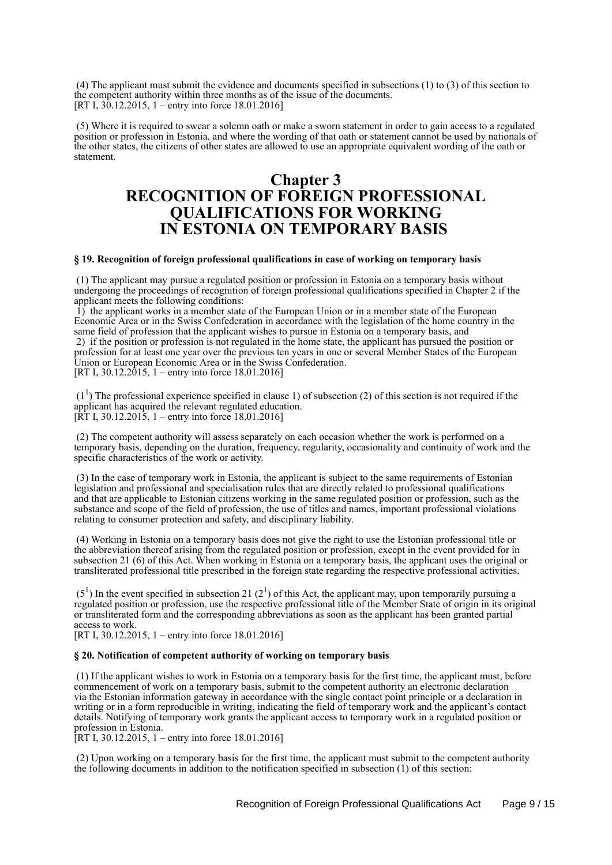(4) The applicant must submit the evidence and documents specified in subsections (1) to (3) of this section to the competent authority within three months as of the issue of the documents. [RT I, 30.12.2015, 1 – entry into force 18.01.2016]

 (5) Where it is required to swear a solemn oath or make a sworn statement in order to gain access to a regulated position or profession in Estonia, and where the wording of that oath or statement cannot be used by nationals of the other states, the citizens of other states are allowed to use an appropriate equivalent wording of the oath or statement.

## **Chapter 3 RECOGNITION OF FOREIGN PROFESSIONAL QUALIFICATIONS FOR WORKING IN ESTONIA ON TEMPORARY BASIS**

#### **§ 19. Recognition of foreign professional qualifications in case of working on temporary basis**

 (1) The applicant may pursue a regulated position or profession in Estonia on a temporary basis without undergoing the proceedings of recognition of foreign professional qualifications specified in Chapter 2 if the applicant meets the following conditions:

 $\hat{1}$ ) the applicant works in a member state of the European Union or in a member state of the European Economic Area or in the Swiss Confederation in accordance with the legislation of the home country in the same field of profession that the applicant wishes to pursue in Estonia on a temporary basis, and 2) if the position or profession is not regulated in the home state, the applicant has pursued the position or profession for at least one year over the previous ten years in one or several Member States of the European Union or European Economic Area or in the Swiss Confederation. [RT I, 30.12.2015, 1 – entry into force 18.01.2016]

 $(1<sup>1</sup>)$  The professional experience specified in clause 1) of subsection (2) of this section is not required if the applicant has acquired the relevant regulated education.  $[\hat{R}T I, 30.12.2015, 1 -$  entry into force 18.01.2016]

 (2) The competent authority will assess separately on each occasion whether the work is performed on a temporary basis, depending on the duration, frequency, regularity, occasionality and continuity of work and the specific characteristics of the work or activity.

 (3) In the case of temporary work in Estonia, the applicant is subject to the same requirements of Estonian legislation and professional and specialisation rules that are directly related to professional qualifications and that are applicable to Estonian citizens working in the same regulated position or profession, such as the substance and scope of the field of profession, the use of titles and names, important professional violations relating to consumer protection and safety, and disciplinary liability.

 (4) Working in Estonia on a temporary basis does not give the right to use the Estonian professional title or the abbreviation thereof arising from the regulated position or profession, except in the event provided for in subsection 21 (6) of this Act. When working in Estonia on a temporary basis, the applicant uses the original or transliterated professional title prescribed in the foreign state regarding the respective professional activities.

 $(5<sup>1</sup>)$  In the event specified in subsection 21 (2<sup>1</sup>) of this Act, the applicant may, upon temporarily pursuing a regulated position or profession, use the respective professional title of the Member State of origin in its original or transliterated form and the corresponding abbreviations as soon as the applicant has been granted partial access to work.

[RT I, 30.12.2015, 1 – entry into force 18.01.2016]

#### **§ 20. Notification of competent authority of working on temporary basis**

 (1) If the applicant wishes to work in Estonia on a temporary basis for the first time, the applicant must, before commencement of work on a temporary basis, submit to the competent authority an electronic declaration via the Estonian information gateway in accordance with the single contact point principle or a declaration in writing or in a form reproducible in writing, indicating the field of temporary work and the applicant's contact details. Notifying of temporary work grants the applicant access to temporary work in a regulated position or profession in Estonia.

 $[RT I, 30.12.2015, 1 - entry into force 18.01.2016]$ 

 (2) Upon working on a temporary basis for the first time, the applicant must submit to the competent authority the following documents in addition to the notification specified in subsection (1) of this section: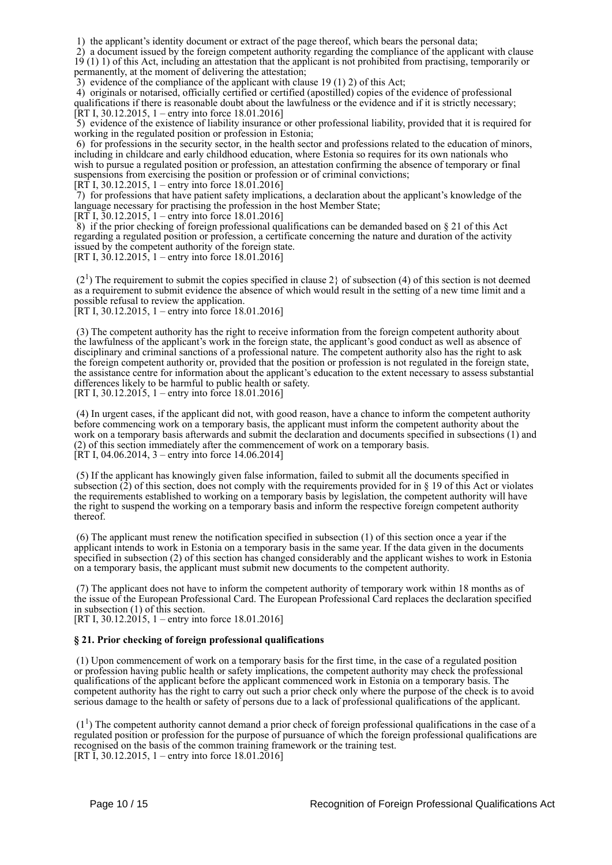1) the applicant's identity document or extract of the page thereof, which bears the personal data;

 2) a document issued by the foreign competent authority regarding the compliance of the applicant with clause 19 (1) 1) of this Act, including an attestation that the applicant is not prohibited from practising, temporarily or permanently, at the moment of delivering the attestation;

3) evidence of the compliance of the applicant with clause 19 (1) 2) of this Act;

 4) originals or notarised, officially certified or certified (apostilled) copies of the evidence of professional qualifications if there is reasonable doubt about the lawfulness or the evidence and if it is strictly necessary; [RT I, 30.12.2015, 1 – entry into force 18.01.2016]

 5) evidence of the existence of liability insurance or other professional liability, provided that it is required for working in the regulated position or profession in Estonia;

 6) for professions in the security sector, in the health sector and professions related to the education of minors, including in childcare and early childhood education, where Estonia so requires for its own nationals who wish to pursue a regulated position or profession, an attestation confirming the absence of temporary or final suspensions from exercising the position or profession or of criminal convictions;

[RT I, 30.12.2015, 1 – entry into force 18.01.2016]

 7) for professions that have patient safety implications, a declaration about the applicant's knowledge of the language necessary for practising the profession in the host Member State;

[RT I,  $30.12.2015$ , 1 – entry into force 18.01.2016]

 $8$ ) if the prior checking of foreign professional qualifications can be demanded based on  $\S$  21 of this Act regarding a regulated position or profession, a certificate concerning the nature and duration of the activity issued by the competent authority of the foreign state.

[RT I,  $30.12.2015$ , 1 – entry into force 18.01.2016]

 $(2<sup>1</sup>)$  The requirement to submit the copies specified in clause 2} of subsection (4) of this section is not deemed as a requirement to submit evidence the absence of which would result in the setting of a new time limit and a possible refusal to review the application.

[RT I, 30.12.2015, 1 – entry into force 18.01.2016]

 (3) The competent authority has the right to receive information from the foreign competent authority about the lawfulness of the applicant's work in the foreign state, the applicant's good conduct as well as absence of disciplinary and criminal sanctions of a professional nature. The competent authority also has the right to ask the foreign competent authority or, provided that the position or profession is not regulated in the foreign state, the assistance centre for information about the applicant's education to the extent necessary to assess substantial differences likely to be harmful to public health or safety. [RT I, 30.12.2015, 1 – entry into force 18.01.2016]

 (4) In urgent cases, if the applicant did not, with good reason, have a chance to inform the competent authority before commencing work on a temporary basis, the applicant must inform the competent authority about the work on a temporary basis afterwards and submit the declaration and documents specified in subsections (1) and (2) of this section immediately after the commencement of work on a temporary basis.  $[\hat{R}T I, 04.06.2014, 3 -$  entry into force 14.06.2014]

 (5) If the applicant has knowingly given false information, failed to submit all the documents specified in subsection  $(2)$  of this section, does not comply with the requirements provided for in § 19 of this Act or violates the requirements established to working on a temporary basis by legislation, the competent authority will have the right to suspend the working on a temporary basis and inform the respective foreign competent authority thereof.

 (6) The applicant must renew the notification specified in subsection (1) of this section once a year if the applicant intends to work in Estonia on a temporary basis in the same year. If the data given in the documents specified in subsection (2) of this section has changed considerably and the applicant wishes to work in Estonia on a temporary basis, the applicant must submit new documents to the competent authority.

 (7) The applicant does not have to inform the competent authority of temporary work within 18 months as of the issue of the European Professional Card. The European Professional Card replaces the declaration specified in subsection (1) of this section.

[RT I, 30.12.2015, 1 – entry into force 18.01.2016]

#### **§ 21. Prior checking of foreign professional qualifications**

 (1) Upon commencement of work on a temporary basis for the first time, in the case of a regulated position or profession having public health or safety implications, the competent authority may check the professional qualifications of the applicant before the applicant commenced work in Estonia on a temporary basis. The competent authority has the right to carry out such a prior check only where the purpose of the check is to avoid serious damage to the health or safety of persons due to a lack of professional qualifications of the applicant.

 $(1<sup>1</sup>)$  The competent authority cannot demand a prior check of foreign professional qualifications in the case of a regulated position or profession for the purpose of pursuance of which the foreign professional qualifications are recognised on the basis of the common training framework or the training test. [RT I, 30.12.2015, 1 – entry into force 18.01.2016]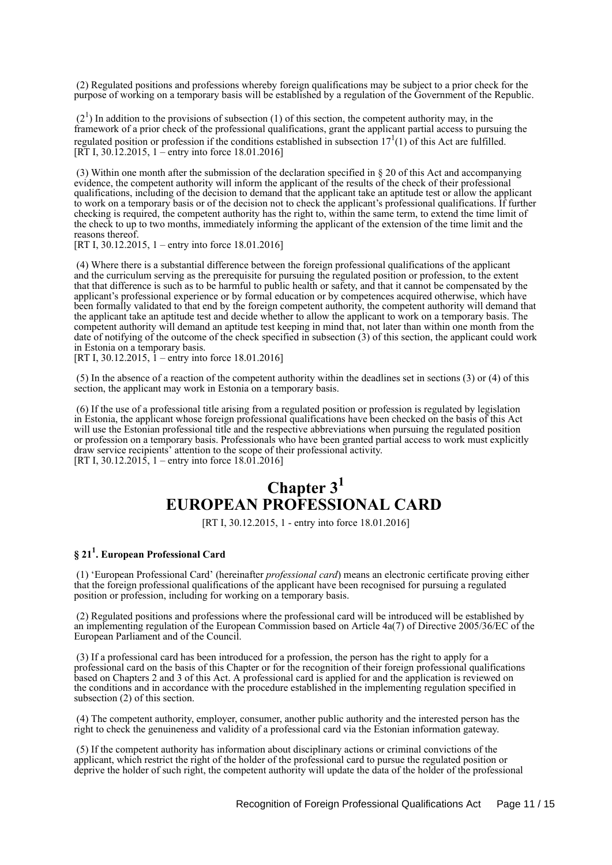(2) Regulated positions and professions whereby foreign qualifications may be subject to a prior check for the purpose of working on a temporary basis will be established by a regulation of the Government of the Republic.

 $(2<sup>1</sup>)$  In addition to the provisions of subsection (1) of this section, the competent authority may, in the framework of a prior check of the professional qualifications, grant the applicant partial access to pursuing the regulated position or profession if the conditions established in subsection  $17<sup>1</sup>(1)$  of this Act are fulfilled. [RT I, 30.12.2015, 1 – entry into force 18.01.2016]

 (3) Within one month after the submission of the declaration specified in § 20 of this Act and accompanying evidence, the competent authority will inform the applicant of the results of the check of their professional qualifications, including of the decision to demand that the applicant take an aptitude test or allow the applicant to work on a temporary basis or of the decision not to check the applicant's professional qualifications. If further checking is required, the competent authority has the right to, within the same term, to extend the time limit of the check to up to two months, immediately informing the applicant of the extension of the time limit and the reasons thereof.

[RT I, 30.12.2015, 1 – entry into force 18.01.2016]

 (4) Where there is a substantial difference between the foreign professional qualifications of the applicant and the curriculum serving as the prerequisite for pursuing the regulated position or profession, to the extent that that difference is such as to be harmful to public health or safety, and that it cannot be compensated by the applicant's professional experience or by formal education or by competences acquired otherwise, which have been formally validated to that end by the foreign competent authority, the competent authority will demand that the applicant take an aptitude test and decide whether to allow the applicant to work on a temporary basis. The competent authority will demand an aptitude test keeping in mind that, not later than within one month from the date of notifying of the outcome of the check specified in subsection (3) of this section, the applicant could work in Estonia on a temporary basis.

[RT I, 30.12.2015, 1 – entry into force 18.01.2016]

 (5) In the absence of a reaction of the competent authority within the deadlines set in sections (3) or (4) of this section, the applicant may work in Estonia on a temporary basis.

 (6) If the use of a professional title arising from a regulated position or profession is regulated by legislation in Estonia, the applicant whose foreign professional qualifications have been checked on the basis of this Act will use the Estonian professional title and the respective abbreviations when pursuing the regulated position or profession on a temporary basis. Professionals who have been granted partial access to work must explicitly draw service recipients' attention to the scope of their professional activity. [RT I, 30.12.2015, 1 – entry into force 18.01.2016]

# **Chapter 3<sup>1</sup> EUROPEAN PROFESSIONAL CARD**

[RT I, 30.12.2015, 1 - entry into force 18.01.2016]

## **§ 21<sup>1</sup> . European Professional Card**

 (1) 'European Professional Card' (hereinafter *professional card*) means an electronic certificate proving either that the foreign professional qualifications of the applicant have been recognised for pursuing a regulated position or profession, including for working on a temporary basis.

 (2) Regulated positions and professions where the professional card will be introduced will be established by an implementing regulation of the European Commission based on Article 4a(7) of Directive 2005/36/EC of the European Parliament and of the Council.

 (3) If a professional card has been introduced for a profession, the person has the right to apply for a professional card on the basis of this Chapter or for the recognition of their foreign professional qualifications based on Chapters 2 and 3 of this Act. A professional card is applied for and the application is reviewed on the conditions and in accordance with the procedure established in the implementing regulation specified in subsection (2) of this section.

 (4) The competent authority, employer, consumer, another public authority and the interested person has the right to check the genuineness and validity of a professional card via the Estonian information gateway.

 (5) If the competent authority has information about disciplinary actions or criminal convictions of the applicant, which restrict the right of the holder of the professional card to pursue the regulated position or deprive the holder of such right, the competent authority will update the data of the holder of the professional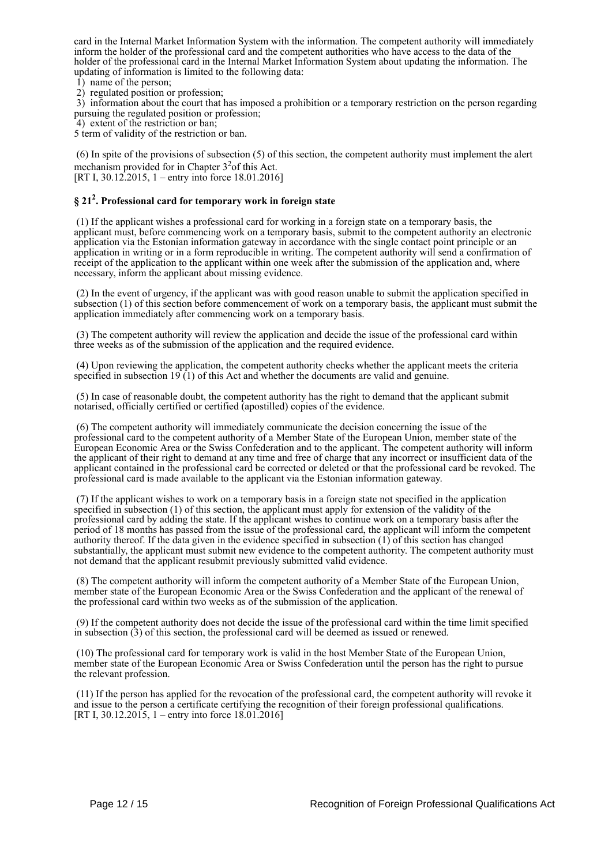card in the Internal Market Information System with the information. The competent authority will immediately inform the holder of the professional card and the competent authorities who have access to the data of the holder of the professional card in the Internal Market Information System about updating the information. The updating of information is limited to the following data:

1) name of the person;

2) regulated position or profession;

 3) information about the court that has imposed a prohibition or a temporary restriction on the person regarding pursuing the regulated position or profession;

4) extent of the restriction or ban;

5 term of validity of the restriction or ban.

 (6) In spite of the provisions of subsection (5) of this section, the competent authority must implement the alert mechanism provided for in Chapter  $3<sup>2</sup>$  of this Act. [RT I, 30.12.2015, 1 – entry into force 18.01.2016]

## **§ 21<sup>2</sup> . Professional card for temporary work in foreign state**

 (1) If the applicant wishes a professional card for working in a foreign state on a temporary basis, the applicant must, before commencing work on a temporary basis, submit to the competent authority an electronic application via the Estonian information gateway in accordance with the single contact point principle or an application in writing or in a form reproducible in writing. The competent authority will send a confirmation of receipt of the application to the applicant within one week after the submission of the application and, where necessary, inform the applicant about missing evidence.

 (2) In the event of urgency, if the applicant was with good reason unable to submit the application specified in subsection (1) of this section before commencement of work on a temporary basis, the applicant must submit the application immediately after commencing work on a temporary basis.

 (3) The competent authority will review the application and decide the issue of the professional card within three weeks as of the submission of the application and the required evidence.

 (4) Upon reviewing the application, the competent authority checks whether the applicant meets the criteria specified in subsection 19<sup>T</sup>(1) of this Act and whether the documents are valid and genuine.

 (5) In case of reasonable doubt, the competent authority has the right to demand that the applicant submit notarised, officially certified or certified (apostilled) copies of the evidence.

 (6) The competent authority will immediately communicate the decision concerning the issue of the professional card to the competent authority of a Member State of the European Union, member state of the European Economic Area or the Swiss Confederation and to the applicant. The competent authority will inform the applicant of their right to demand at any time and free of charge that any incorrect or insufficient data of the applicant contained in the professional card be corrected or deleted or that the professional card be revoked. The professional card is made available to the applicant via the Estonian information gateway.

 (7) If the applicant wishes to work on a temporary basis in a foreign state not specified in the application specified in subsection (1) of this section, the applicant must apply for extension of the validity of the professional card by adding the state. If the applicant wishes to continue work on a temporary basis after the period of 18 months has passed from the issue of the professional card, the applicant will inform the competent authority thereof. If the data given in the evidence specified in subsection  $(1)$  of this section has changed substantially, the applicant must submit new evidence to the competent authority. The competent authority must not demand that the applicant resubmit previously submitted valid evidence.

 (8) The competent authority will inform the competent authority of a Member State of the European Union, member state of the European Economic Area or the Swiss Confederation and the applicant of the renewal of the professional card within two weeks as of the submission of the application.

 (9) If the competent authority does not decide the issue of the professional card within the time limit specified in subsection (3) of this section, the professional card will be deemed as issued or renewed.

 (10) The professional card for temporary work is valid in the host Member State of the European Union, member state of the European Economic Area or Swiss Confederation until the person has the right to pursue the relevant profession.

 (11) If the person has applied for the revocation of the professional card, the competent authority will revoke it and issue to the person a certificate certifying the recognition of their foreign professional qualifications. [RT I,  $30.12.2015$ , 1 – entry into force  $18.01.2016$ ]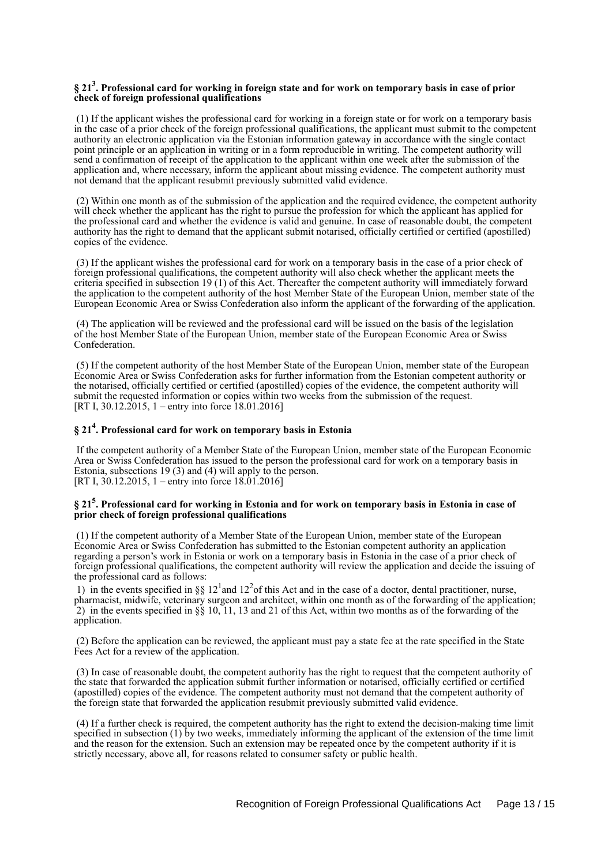#### **§ 21<sup>3</sup> . Professional card for working in foreign state and for work on temporary basis in case of prior check of foreign professional qualifications**

 (1) If the applicant wishes the professional card for working in a foreign state or for work on a temporary basis in the case of a prior check of the foreign professional qualifications, the applicant must submit to the competent authority an electronic application via the Estonian information gateway in accordance with the single contact point principle or an application in writing or in a form reproducible in writing. The competent authority will send a confirmation of receipt of the application to the applicant within one week after the submission of the application and, where necessary, inform the applicant about missing evidence. The competent authority must not demand that the applicant resubmit previously submitted valid evidence.

 (2) Within one month as of the submission of the application and the required evidence, the competent authority will check whether the applicant has the right to pursue the profession for which the applicant has applied for the professional card and whether the evidence is valid and genuine. In case of reasonable doubt, the competent authority has the right to demand that the applicant submit notarised, officially certified or certified (apostilled) copies of the evidence.

 (3) If the applicant wishes the professional card for work on a temporary basis in the case of a prior check of foreign professional qualifications, the competent authority will also check whether the applicant meets the criteria specified in subsection 19 (1) of this Act. Thereafter the competent authority will immediately forward the application to the competent authority of the host Member State of the European Union, member state of the European Economic Area or Swiss Confederation also inform the applicant of the forwarding of the application.

 (4) The application will be reviewed and the professional card will be issued on the basis of the legislation of the host Member State of the European Union, member state of the European Economic Area or Swiss Confederation.

 (5) If the competent authority of the host Member State of the European Union, member state of the European Economic Area or Swiss Confederation asks for further information from the Estonian competent authority or the notarised, officially certified or certified (apostilled) copies of the evidence, the competent authority will submit the requested information or copies within two weeks from the submission of the request. [RT I,  $30.12.2015$ , 1 – entry into force 18.01.2016]

## **§ 21<sup>4</sup> . Professional card for work on temporary basis in Estonia**

 If the competent authority of a Member State of the European Union, member state of the European Economic Area or Swiss Confederation has issued to the person the professional card for work on a temporary basis in Estonia, subsections 19 (3) and (4) will apply to the person. [RT I, 30.12.2015, 1 – entry into force 18.01.2016]

#### **§ 21<sup>5</sup> . Professional card for working in Estonia and for work on temporary basis in Estonia in case of prior check of foreign professional qualifications**

 (1) If the competent authority of a Member State of the European Union, member state of the European Economic Area or Swiss Confederation has submitted to the Estonian competent authority an application regarding a person's work in Estonia or work on a temporary basis in Estonia in the case of a prior check of foreign professional qualifications, the competent authority will review the application and decide the issuing of the professional card as follows:

1) in the events specified in §§ 12<sup>1</sup> and 12<sup>2</sup> of this Act and in the case of a doctor, dental practitioner, nurse, pharmacist, midwife, veterinary surgeon and architect, within one month as of the forwarding of the application; 2) in the events specified in  $\S$  10, 11, 13 and 21 of this Act, within two months as of the forwarding of the application.

 (2) Before the application can be reviewed, the applicant must pay a state fee at the rate specified in the State Fees Act for a review of the application.

 (3) In case of reasonable doubt, the competent authority has the right to request that the competent authority of the state that forwarded the application submit further information or notarised, officially certified or certified (apostilled) copies of the evidence. The competent authority must not demand that the competent authority of the foreign state that forwarded the application resubmit previously submitted valid evidence.

 (4) If a further check is required, the competent authority has the right to extend the decision-making time limit specified in subsection (1) by two weeks, immediately informing the applicant of the extension of the time limit and the reason for the extension. Such an extension may be repeated once by the competent authority if it is strictly necessary, above all, for reasons related to consumer safety or public health.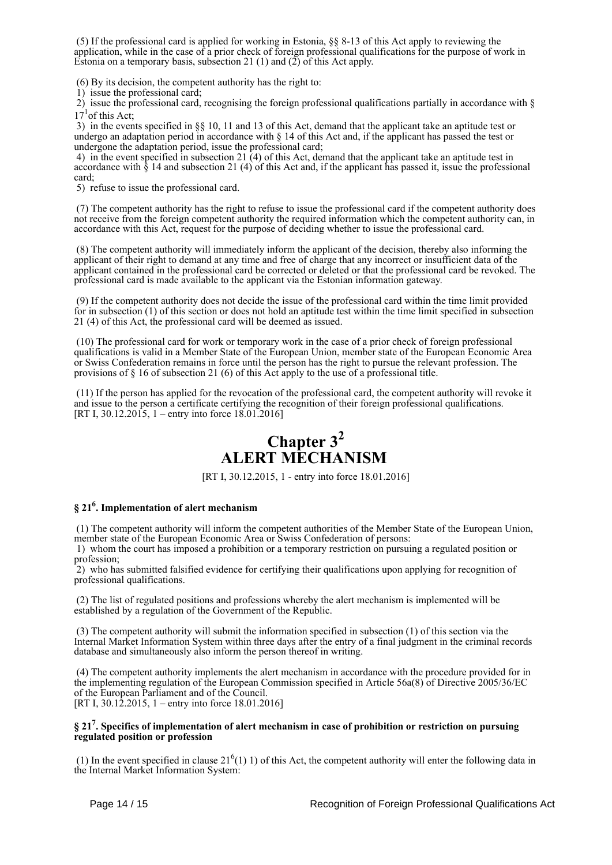(5) If the professional card is applied for working in Estonia, §§ 8-13 of this Act apply to reviewing the application, while in the case of a prior check of foreign professional qualifications for the purpose of work in Estonia on a temporary basis, subsection 21 (1) and (2) of this Act apply.

(6) By its decision, the competent authority has the right to:

1) issue the professional card;

 2) issue the professional card, recognising the foreign professional qualifications partially in accordance with §  $17<sup>1</sup>$  of this Act;

 3) in the events specified in §§ 10, 11 and 13 of this Act, demand that the applicant take an aptitude test or undergo an adaptation period in accordance with § 14 of this Act and, if the applicant has passed the test or undergone the adaptation period, issue the professional card;

 4) in the event specified in subsection 21 (4) of this Act, demand that the applicant take an aptitude test in accordance with § 14 and subsection 21 (4) of this Act and, if the applicant has passed it, issue the professional card;

5) refuse to issue the professional card.

 (7) The competent authority has the right to refuse to issue the professional card if the competent authority does not receive from the foreign competent authority the required information which the competent authority can, in accordance with this Act, request for the purpose of deciding whether to issue the professional card.

 (8) The competent authority will immediately inform the applicant of the decision, thereby also informing the applicant of their right to demand at any time and free of charge that any incorrect or insufficient data of the applicant contained in the professional card be corrected or deleted or that the professional card be revoked. The professional card is made available to the applicant via the Estonian information gateway.

 (9) If the competent authority does not decide the issue of the professional card within the time limit provided for in subsection (1) of this section or does not hold an aptitude test within the time limit specified in subsection 21 (4) of this Act, the professional card will be deemed as issued.

 (10) The professional card for work or temporary work in the case of a prior check of foreign professional qualifications is valid in a Member State of the European Union, member state of the European Economic Area or Swiss Confederation remains in force until the person has the right to pursue the relevant profession. The provisions of § 16 of subsection 21 (6) of this Act apply to the use of a professional title.

 (11) If the person has applied for the revocation of the professional card, the competent authority will revoke it and issue to the person a certificate certifying the recognition of their foreign professional qualifications. [RT I, 30.12.2015, 1 – entry into force 18.01.2016]

# **Chapter 3<sup>2</sup> ALERT MECHANISM**

[RT I, 30.12.2015, 1 - entry into force 18.01.2016]

## **§ 21<sup>6</sup> . Implementation of alert mechanism**

 (1) The competent authority will inform the competent authorities of the Member State of the European Union, member state of the European Economic Area or Swiss Confederation of persons:

 1) whom the court has imposed a prohibition or a temporary restriction on pursuing a regulated position or profession;

 2) who has submitted falsified evidence for certifying their qualifications upon applying for recognition of professional qualifications.

 (2) The list of regulated positions and professions whereby the alert mechanism is implemented will be established by a regulation of the Government of the Republic.

 (3) The competent authority will submit the information specified in subsection (1) of this section via the Internal Market Information System within three days after the entry of a final judgment in the criminal records database and simultaneously also inform the person thereof in writing.

 (4) The competent authority implements the alert mechanism in accordance with the procedure provided for in the implementing regulation of the European Commission specified in Article 56a(8) of Directive 2005/36/EC of the European Parliament and of the Council. [RT I, 30.12.2015, 1 – entry into force 18.01.2016]

### **§ 21<sup>7</sup> . Specifics of implementation of alert mechanism in case of prohibition or restriction on pursuing regulated position or profession**

(1) In the event specified in clause  $21<sup>6</sup>(1)$  1) of this Act, the competent authority will enter the following data in the Internal Market Information System: